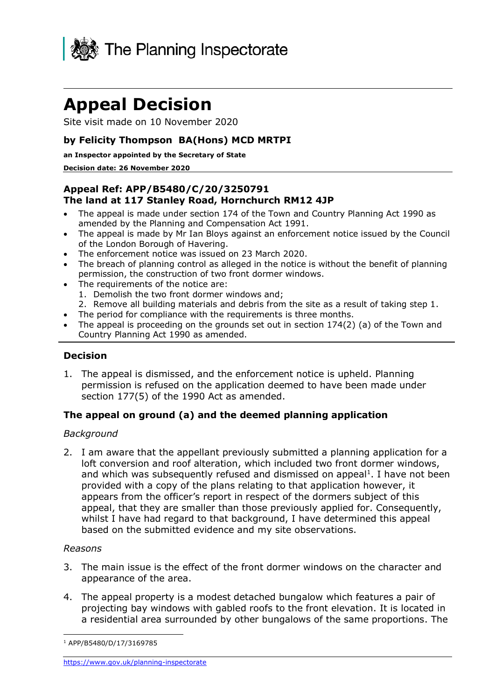

# **Appeal Decision**

Site visit made on 10 November 2020

# **by Felicity Thompson BA(Hons) MCD MRTPI**

#### **an Inspector appointed by the Secretary of State**

#### **Decision date: 26 November 2020**

## **Appeal Ref: APP/B5480/C/20/3250791 The land at 117 Stanley Road, Hornchurch RM12 4JP**

- • The appeal is made under section 174 of the Town and Country Planning Act 1990 as amended by the Planning and Compensation Act 1991.
- • The appeal is made by Mr Ian Bloys against an enforcement notice issued by the Council of the London Borough of Havering.
- The enforcement notice was issued on 23 March 2020.
- • The breach of planning control as alleged in the notice is without the benefit of planning permission, the construction of two front dormer windows.
- The requirements of the notice are:
	- 1. Demolish the two front dormer windows and;
- 2. Remove all building materials and debris from the site as a result of taking step 1.
- The period for compliance with the requirements is three months.
- • The appeal is proceeding on the grounds set out in section 174(2) (a) of the Town and Country Planning Act 1990 as amended.

## **Decision**

 1. The appeal is dismissed, and the enforcement notice is upheld. Planning permission is refused on the application deemed to have been made under section 177(5) of the 1990 Act as amended.

# **The appeal on ground (a) and the deemed planning application**

## *Background*

 2. I am aware that the appellant previously submitted a planning application for a loft conversion and roof alteration, which included two front dormer windows, and which was subsequently refused and dismissed on appeal<sup>1</sup>. I have not been provided with a copy of the plans relating to that application however, it appears from the officer's report in respect of the dormers subject of this appeal, that they are smaller than those previously applied for. Consequently, whilst I have had regard to that background, I have determined this appeal based on the submitted evidence and my site observations.

#### *Reasons*

- 3. The main issue is the effect of the front dormer windows on the character and appearance of the area.
- 4. The appeal property is a modest detached bungalow which features a pair of projecting bay windows with gabled roofs to the front elevation. It is located in a residential area surrounded by other bungalows of the same proportions. The

<sup>1</sup> APP/B5480/D/17/3169785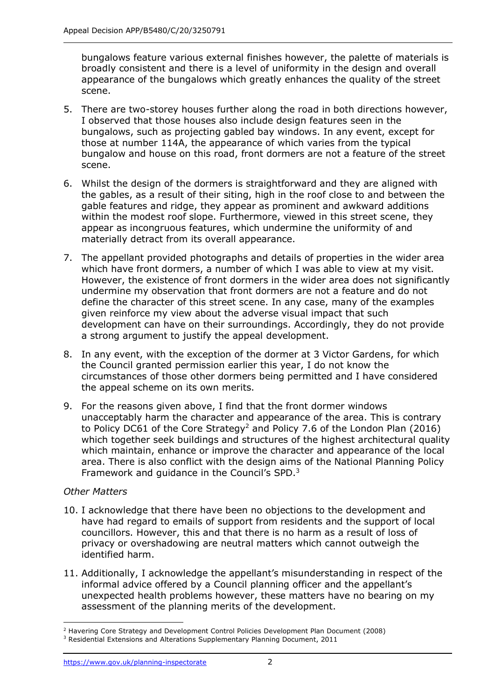bungalows feature various external finishes however, the palette of materials is broadly consistent and there is a level of uniformity in the design and overall appearance of the bungalows which greatly enhances the quality of the street scene.

- 5. There are two-storey houses further along the road in both directions however, I observed that those houses also include design features seen in the bungalows, such as projecting gabled bay windows. In any event, except for those at number 114A, the appearance of which varies from the typical bungalow and house on this road, front dormers are not a feature of the street scene.
- 6. Whilst the design of the dormers is straightforward and they are aligned with the gables, as a result of their siting, high in the roof close to and between the gable features and ridge, they appear as prominent and awkward additions appear as incongruous features, which undermine the uniformity of and within the modest roof slope. Furthermore, viewed in this street scene, they materially detract from its overall appearance.
- 7. The appellant provided photographs and details of properties in the wider area which have front dormers, a number of which I was able to view at my visit. However, the existence of front dormers in the wider area does not significantly undermine my observation that front dormers are not a feature and do not define the character of this street scene. In any case, many of the examples given reinforce my view about the adverse visual impact that such development can have on their surroundings. Accordingly, they do not provide a strong argument to justify the appeal development.
- 8. In any event, with the exception of the dormer at 3 Victor Gardens, for which the Council granted permission earlier this year, I do not know the circumstances of those other dormers being permitted and I have considered the appeal scheme on its own merits.
- 9. For the reasons given above, I find that the front dormer windows unacceptably harm the character and appearance of the area. This is contrary to Policy DC61 of the Core Strategy<sup>2</sup> and Policy 7.6 of the London Plan (2016) which together seek buildings and structures of the highest architectural quality which maintain, enhance or improve the character and appearance of the local area. There is also conflict with the design aims of the National Planning Policy Framework and guidance in the Council's SPD.<sup>3</sup>

## *Other Matters*

- 10. I acknowledge that there have been no objections to the development and have had regard to emails of support from residents and the support of local councillors. However, this and that there is no harm as a result of loss of privacy or overshadowing are neutral matters which cannot outweigh the identified harm.
- 11. Additionally, I acknowledge the appellant's misunderstanding in respect of the informal advice offered by a Council planning officer and the appellant's unexpected health problems however, these matters have no bearing on my assessment of the planning merits of the development.

 $<sup>2</sup>$  Havering Core Strategy and Development Control Policies Development Plan Document (2008)</sup>

 $3$  Residential Extensions and Alterations Supplementary Planning Document, 2011